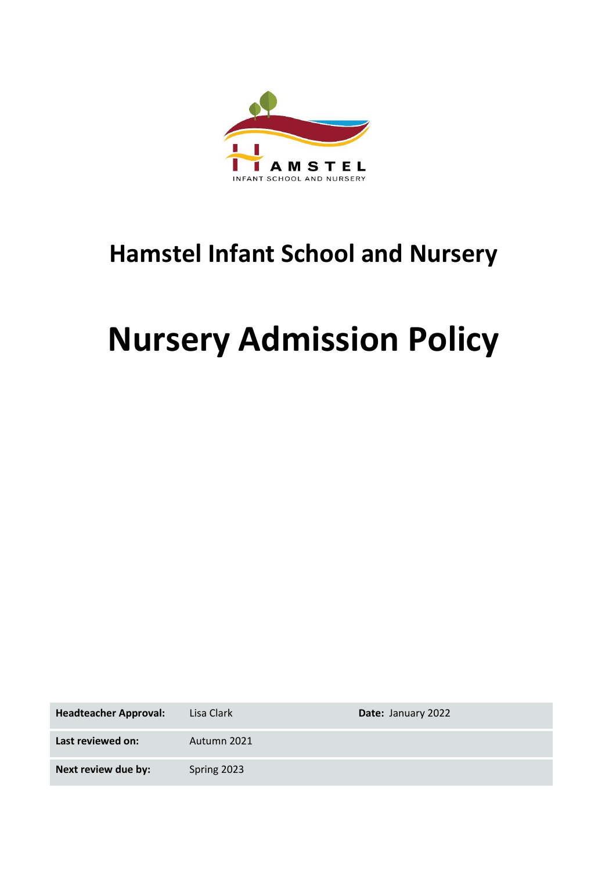

# **Hamstel Infant School and Nursery**

# **Nursery Admission Policy**

| <b>Headteacher Approval:</b> | Lisa Clark  | Date: January 2022 |
|------------------------------|-------------|--------------------|
| Last reviewed on:            | Autumn 2021 |                    |
| Next review due by:          | Spring 2023 |                    |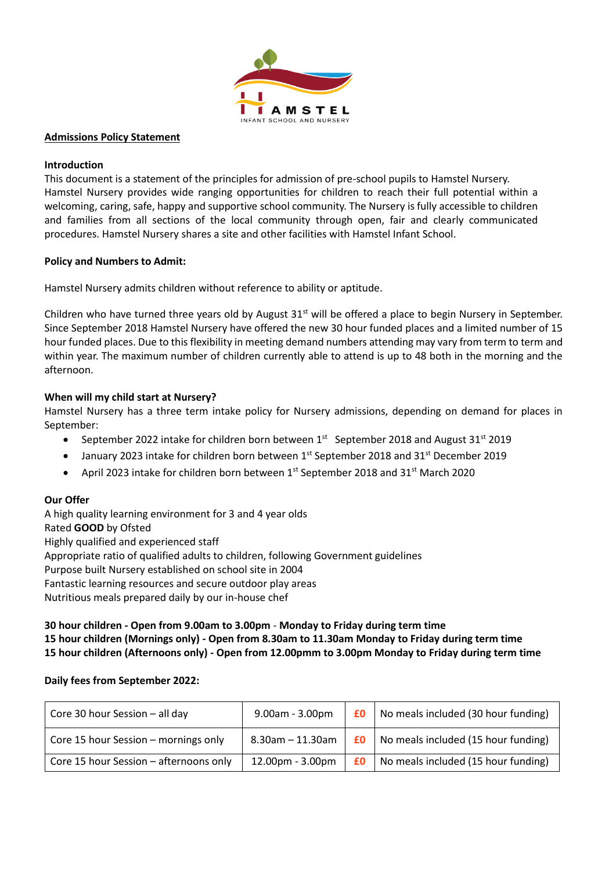

#### **Admissions Policy Statement**

### **Introduction**

This document is a statement of the principles for admission of pre-school pupils to Hamstel Nursery. Hamstel Nursery provides wide ranging opportunities for children to reach their full potential within a welcoming, caring, safe, happy and supportive school community. The Nursery is fully accessible to children and families from all sections of the local community through open, fair and clearly communicated procedures. Hamstel Nursery shares a site and other facilities with Hamstel Infant School.

#### **Policy and Numbers to Admit:**

Hamstel Nursery admits children without reference to ability or aptitude.

Children who have turned three years old by August 31<sup>st</sup> will be offered a place to begin Nursery in September. Since September 2018 Hamstel Nursery have offered the new 30 hour funded places and a limited number of 15 hour funded places. Due to this flexibility in meeting demand numbers attending may vary from term to term and within year. The maximum number of children currently able to attend is up to 48 both in the morning and the afternoon.

### **When will my child start at Nursery?**

Hamstel Nursery has a three term intake policy for Nursery admissions, depending on demand for places in September:

- September 2022 intake for children born between  $1<sup>st</sup>$  September 2018 and August 31 $<sup>st</sup>$  2019</sup>
- January 2023 intake for children born between 1st September 2018 and 31st December 2019
- April 2023 intake for children born between  $1<sup>st</sup>$  September 2018 and 31 $<sup>st</sup>$  March 2020</sup>

### **Our Offer**

A high quality learning environment for 3 and 4 year olds Rated **GOOD** by Ofsted Highly qualified and experienced staff Appropriate ratio of qualified adults to children, following Government guidelines Purpose built Nursery established on school site in 2004 Fantastic learning resources and secure outdoor play areas Nutritious meals prepared daily by our in-house chef

**30 hour children - Open from 9.00am to 3.00pm** - **Monday to Friday during term time 15 hour children (Mornings only) - Open from 8.30am to 11.30am Monday to Friday during term time 15 hour children (Afternoons only) - Open from 12.00pmm to 3.00pm Monday to Friday during term time**

### **Daily fees from September 2022:**

| Core 30 hour Session - all day         | 9.00am - 3.00pm       | £0 | No meals included (30 hour funding) |
|----------------------------------------|-----------------------|----|-------------------------------------|
| Core 15 hour Session – mornings only   | $8.30$ am $-11.30$ am | £0 | No meals included (15 hour funding) |
| Core 15 hour Session - afternoons only | 12.00pm - 3.00pm      | £0 | No meals included (15 hour funding) |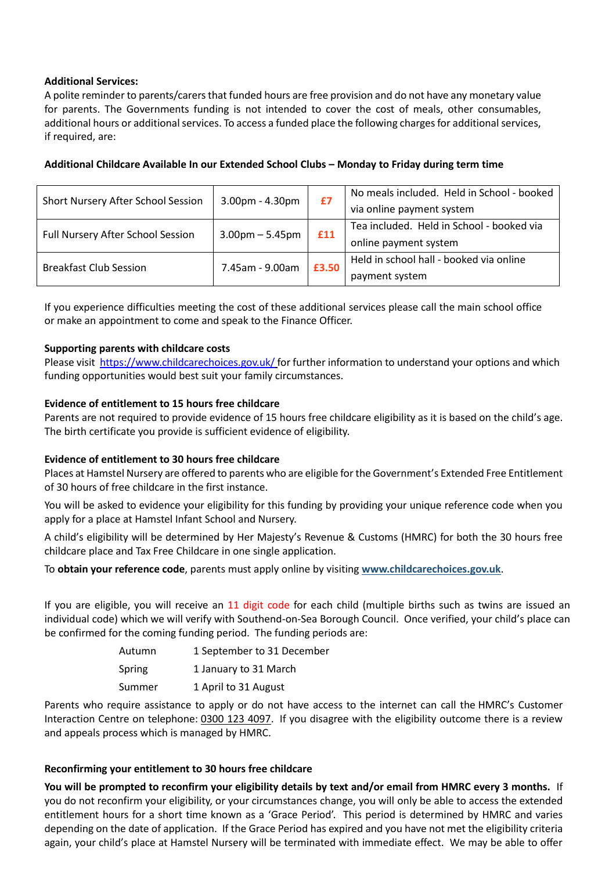# **Additional Services:**

A polite reminder to parents/carers that funded hours are free provision and do not have any monetary value for parents. The Governments funding is not intended to cover the cost of meals, other consumables, additional hours or additional services. To access a funded place the following charges for additional services, if required, are:

| Short Nursery After School Session | $3.00$ pm - $4.30$ pm | £7    | No meals included. Held in School - booked<br>via online payment system |
|------------------------------------|-----------------------|-------|-------------------------------------------------------------------------|
| Full Nursery After School Session  | $3.00$ pm $- 5.45$ pm | £11   | Tea included. Held in School - booked via<br>online payment system      |
| <b>Breakfast Club Session</b>      | 7.45am - 9.00am       | £3.50 | Held in school hall - booked via online<br>payment system               |

### **Additional Childcare Available In our Extended School Clubs – Monday to Friday during term time**

If you experience difficulties meeting the cost of these additional services please call the main school office or make an appointment to come and speak to the Finance Officer.

### **Supporting parents with childcare costs**

Please visit<https://www.childcarechoices.gov.uk/> for further information to understand your options and which funding opportunities would best suit your family circumstances.

# **Evidence of entitlement to 15 hours free childcare**

Parents are not required to provide evidence of 15 hours free childcare eligibility as it is based on the child's age. The birth certificate you provide is sufficient evidence of eligibility.

### **Evidence of entitlement to 30 hours free childcare**

Places at Hamstel Nursery are offered to parents who are eligible for the Government's Extended Free Entitlement of 30 hours of free childcare in the first instance.

You will be asked to evidence your eligibility for this funding by providing your unique reference code when you apply for a place at Hamstel Infant School and Nursery.

A child's eligibility will be determined by Her Majesty's Revenue & Customs (HMRC) for both the 30 hours free childcare place and Tax Free Childcare in one single application.

To **obtain your reference code**, parents must apply online by visiting **[www.childcarechoices.gov.uk](http://www.childcarechoices.gov.uk/)**.

If you are eligible, you will receive an 11 digit code for each child (multiple births such as twins are issued an individual code) which we will verify with Southend-on-Sea Borough Council. Once verified, your child's place can be confirmed for the coming funding period. The funding periods are:

| Autumn | 1 September to 31 December |
|--------|----------------------------|
| Spring | 1 January to 31 March      |
| Summer | 1 April to 31 August       |

Parents who require assistance to apply or do not have access to the internet can call the HMRC's Customer Interaction Centre on telephone: [0300 123 4097.](http://www.doncaster.gov.uk/services/schools/0300%20123%204097) If you disagree with the eligibility outcome there is a review and appeals process which is managed by HMRC.

### **Reconfirming your entitlement to 30 hours free childcare**

**You will be prompted to reconfirm your eligibility details by text and/or email from HMRC every 3 months.** If you do not reconfirm your eligibility, or your circumstances change, you will only be able to access the extended entitlement hours for a short time known as a 'Grace Period'. This period is determined by HMRC and varies depending on the date of application. If the Grace Period has expired and you have not met the eligibility criteria again, your child's place at Hamstel Nursery will be terminated with immediate effect. We may be able to offer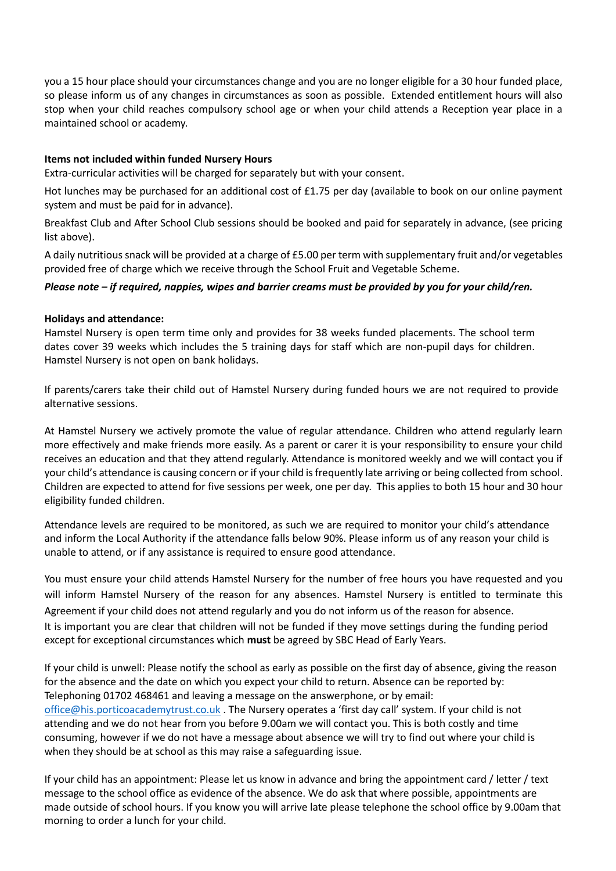you a 15 hour place should your circumstances change and you are no longer eligible for a 30 hour funded place, so please inform us of any changes in circumstances as soon as possible. Extended entitlement hours will also stop when your child reaches compulsory school age or when your child attends a Reception year place in a maintained school or academy.

# **Items not included within funded Nursery Hours**

Extra-curricular activities will be charged for separately but with your consent.

Hot lunches may be purchased for an additional cost of £1.75 per day (available to book on our online payment system and must be paid for in advance).

Breakfast Club and After School Club sessions should be booked and paid for separately in advance, (see pricing list above).

A daily nutritious snack will be provided at a charge of £5.00 per term with supplementary fruit and/or vegetables provided free of charge which we receive through the School Fruit and Vegetable Scheme.

# *Please note – if required, nappies, wipes and barrier creams must be provided by you for your child/ren.*

### **Holidays and attendance:**

Hamstel Nursery is open term time only and provides for 38 weeks funded placements. The school term dates cover 39 weeks which includes the 5 training days for staff which are non-pupil days for children. Hamstel Nursery is not open on bank holidays.

If parents/carers take their child out of Hamstel Nursery during funded hours we are not required to provide alternative sessions.

At Hamstel Nursery we actively promote the value of regular attendance. Children who attend regularly learn more effectively and make friends more easily. As a parent or carer it is your responsibility to ensure your child receives an education and that they attend regularly. Attendance is monitored weekly and we will contact you if your child's attendance is causing concern or if your child is frequently late arriving or being collected from school. Children are expected to attend for five sessions per week, one per day. This applies to both 15 hour and 30 hour eligibility funded children.

Attendance levels are required to be monitored, as such we are required to monitor your child's attendance and inform the Local Authority if the attendance falls below 90%. Please inform us of any reason your child is unable to attend, or if any assistance is required to ensure good attendance.

You must ensure your child attends Hamstel Nursery for the number of free hours you have requested and you will inform Hamstel Nursery of the reason for any absences. Hamstel Nursery is entitled to terminate this Agreement if your child does not attend regularly and you do not inform us of the reason for absence. It is important you are clear that children will not be funded if they move settings during the funding period except for exceptional circumstances which **must** be agreed by SBC Head of Early Years.

If your child is unwell: Please notify the school as early as possible on the first day of absence, giving the reason for the absence and the date on which you expect your child to return. Absence can be reported by: Telephoning 01702 468461 and leaving a message on the answerphone, or by email: [office@his.porticoacademytrust.co.uk](mailto:office@his.porticoacademytrust.co.uk). The Nursery operates a 'first day call' system. If your child is not attending and we do not hear from you before 9.00am we will contact you. This is both costly and time consuming, however if we do not have a message about absence we will try to find out where your child is when they should be at school as this may raise a safeguarding issue.

If your child has an appointment: Please let us know in advance and bring the appointment card / letter / text message to the school office as evidence of the absence. We do ask that where possible, appointments are made outside of school hours. If you know you will arrive late please telephone the school office by 9.00am that morning to order a lunch for your child.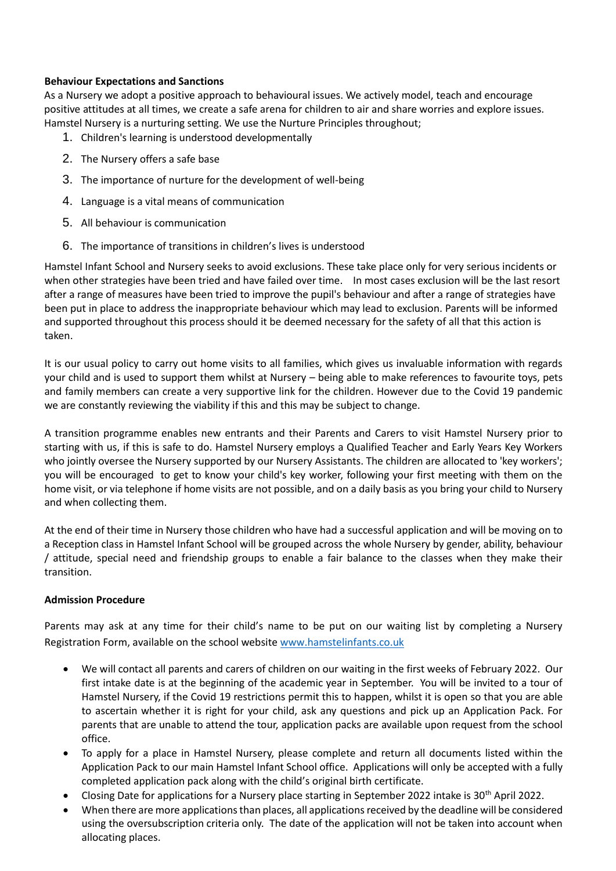# **Behaviour Expectations and Sanctions**

As a Nursery we adopt a positive approach to behavioural issues. We actively model, teach and encourage positive attitudes at all times, we create a safe arena for children to air and share worries and explore issues. Hamstel Nursery is a nurturing setting. We use the Nurture Principles throughout;

- 1. Children's learning is understood developmentally
- 2. The Nursery offers a safe base
- 3. The importance of nurture for the development of well-being
- 4. Language is a vital means of communication
- 5. All behaviour is communication
- 6. The importance of transitions in children's lives is understood

Hamstel Infant School and Nursery seeks to avoid exclusions. These take place only for very serious incidents or when other strategies have been tried and have failed over time. In most cases exclusion will be the last resort after a range of measures have been tried to improve the pupil's behaviour and after a range of strategies have been put in place to address the inappropriate behaviour which may lead to exclusion. Parents will be informed and supported throughout this process should it be deemed necessary for the safety of all that this action is taken.

It is our usual policy to carry out home visits to all families, which gives us invaluable information with regards your child and is used to support them whilst at Nursery – being able to make references to favourite toys, pets and family members can create a very supportive link for the children. However due to the Covid 19 pandemic we are constantly reviewing the viability if this and this may be subject to change.

A transition programme enables new entrants and their Parents and Carers to visit Hamstel Nursery prior to starting with us, if this is safe to do. Hamstel Nursery employs a Qualified Teacher and Early Years Key Workers who jointly oversee the Nursery supported by our Nursery Assistants. The children are allocated to 'key workers'; you will be encouraged to get to know your child's key worker, following your first meeting with them on the home visit, or via telephone if home visits are not possible, and on a daily basis as you bring your child to Nursery and when collecting them.

At the end of their time in Nursery those children who have had a successful application and will be moving on to a Reception class in Hamstel Infant School will be grouped across the whole Nursery by gender, ability, behaviour / attitude, special need and friendship groups to enable a fair balance to the classes when they make their transition.

# **Admission Procedure**

Parents may ask at any time for their child's name to be put on our waiting list by completing a Nursery Registration Form, available on the school websit[e www.hamstelinfants.co.uk](http://www.hamstelinfants.co.uk/)

- We will contact all parents and carers of children on our waiting in the first weeks of February 2022. Our first intake date is at the beginning of the academic year in September. You will be invited to a tour of Hamstel Nursery, if the Covid 19 restrictions permit this to happen, whilst it is open so that you are able to ascertain whether it is right for your child, ask any questions and pick up an Application Pack. For parents that are unable to attend the tour, application packs are available upon request from the school office.
- To apply for a place in Hamstel Nursery, please complete and return all documents listed within the Application Pack to our main Hamstel Infant School office. Applications will only be accepted with a fully completed application pack along with the child's original birth certificate.
- Closing Date for applications for a Nursery place starting in September 2022 intake is  $30<sup>th</sup>$  April 2022.
- When there are more applications than places, all applications received by the deadline will be considered using the oversubscription criteria only. The date of the application will not be taken into account when allocating places.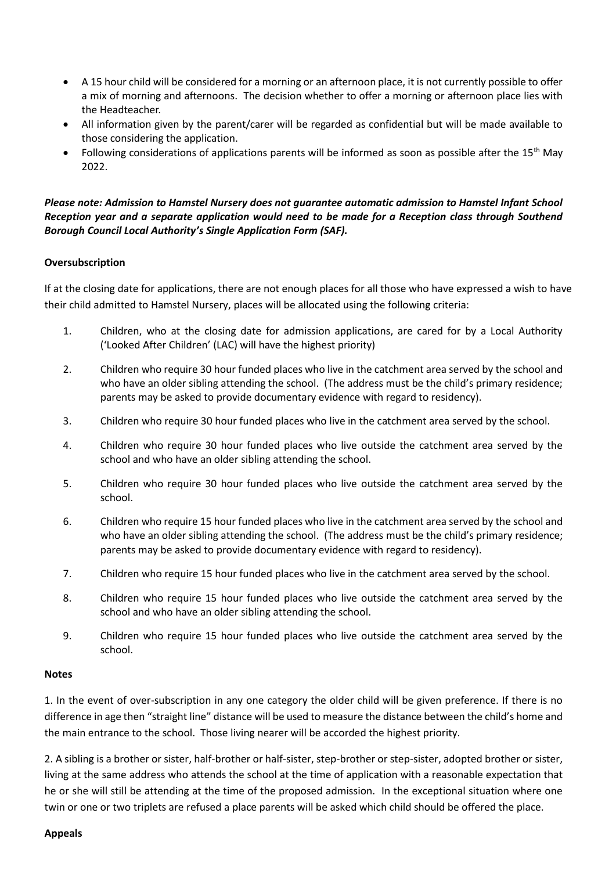- A 15 hour child will be considered for a morning or an afternoon place, it is not currently possible to offer a mix of morning and afternoons. The decision whether to offer a morning or afternoon place lies with the Headteacher.
- All information given by the parent/carer will be regarded as confidential but will be made available to those considering the application.
- Following considerations of applications parents will be informed as soon as possible after the 15<sup>th</sup> May 2022.

# *Please note: Admission to Hamstel Nursery does not guarantee automatic admission to Hamstel Infant School Reception year and a separate application would need to be made for a Reception class through Southend Borough Council Local Authority's Single Application Form (SAF).*

# **Oversubscription**

If at the closing date for applications, there are not enough places for all those who have expressed a wish to have their child admitted to Hamstel Nursery, places will be allocated using the following criteria:

- 1. Children, who at the closing date for admission applications, are cared for by a Local Authority ('Looked After Children' (LAC) will have the highest priority)
- 2. Children who require 30 hour funded places who live in the catchment area served by the school and who have an older sibling attending the school. (The address must be the child's primary residence; parents may be asked to provide documentary evidence with regard to residency).
- 3. Children who require 30 hour funded places who live in the catchment area served by the school.
- 4. Children who require 30 hour funded places who live outside the catchment area served by the school and who have an older sibling attending the school.
- 5. Children who require 30 hour funded places who live outside the catchment area served by the school.
- 6. Children who require 15 hour funded places who live in the catchment area served by the school and who have an older sibling attending the school. (The address must be the child's primary residence; parents may be asked to provide documentary evidence with regard to residency).
- 7. Children who require 15 hour funded places who live in the catchment area served by the school.
- 8. Children who require 15 hour funded places who live outside the catchment area served by the school and who have an older sibling attending the school.
- 9. Children who require 15 hour funded places who live outside the catchment area served by the school.

### **Notes**

1. In the event of over-subscription in any one category the older child will be given preference. If there is no difference in age then "straight line" distance will be used to measure the distance between the child's home and the main entrance to the school. Those living nearer will be accorded the highest priority.

2. A sibling is a brother or sister, half-brother or half-sister, step-brother or step-sister, adopted brother or sister, living at the same address who attends the school at the time of application with a reasonable expectation that he or she will still be attending at the time of the proposed admission. In the exceptional situation where one twin or one or two triplets are refused a place parents will be asked which child should be offered the place.

### **Appeals**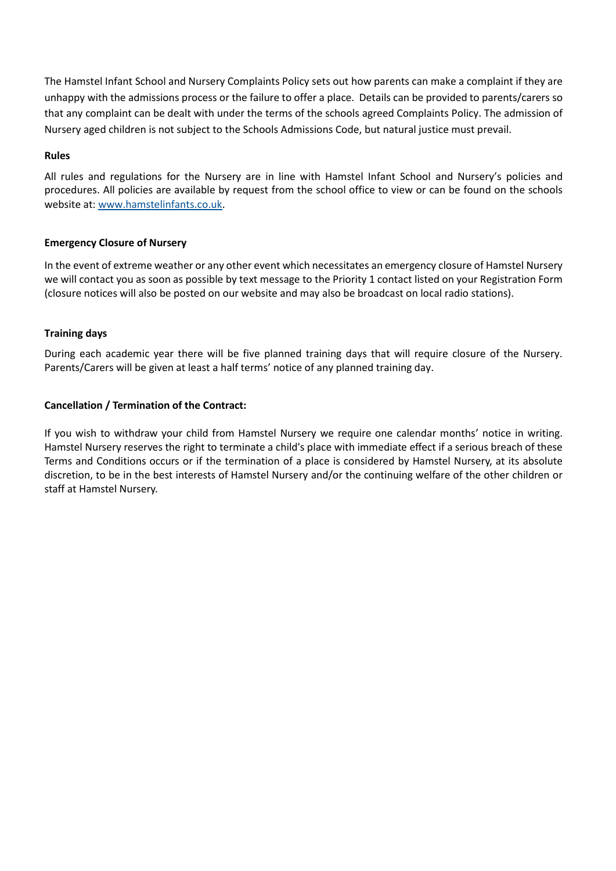The Hamstel Infant School and Nursery Complaints Policy sets out how parents can make a complaint if they are unhappy with the admissions process or the failure to offer a place. Details can be provided to parents/carers so that any complaint can be dealt with under the terms of the schools agreed Complaints Policy. The admission of Nursery aged children is not subject to the Schools Admissions Code, but natural justice must prevail.

# **Rules**

All rules and regulations for the Nursery are in line with Hamstel Infant School and Nursery's policies and procedures. All policies are available by request from the school office to view or can be found on the schools website at: [www.hamstelinfants.co.uk.](http://www.hamstelinfants.co.uk/)

# **Emergency Closure of Nursery**

In the event of extreme weather or any other event which necessitates an emergency closure of Hamstel Nursery we will contact you as soon as possible by text message to the Priority 1 contact listed on your Registration Form (closure notices will also be posted on our website and may also be broadcast on local radio stations).

# **Training days**

During each academic year there will be five planned training days that will require closure of the Nursery. Parents/Carers will be given at least a half terms' notice of any planned training day.

# **Cancellation / Termination of the Contract:**

If you wish to withdraw your child from Hamstel Nursery we require one calendar months' notice in writing. Hamstel Nursery reserves the right to terminate a child's place with immediate effect if a serious breach of these Terms and Conditions occurs or if the termination of a place is considered by Hamstel Nursery, at its absolute discretion, to be in the best interests of Hamstel Nursery and/or the continuing welfare of the other children or staff at Hamstel Nursery.